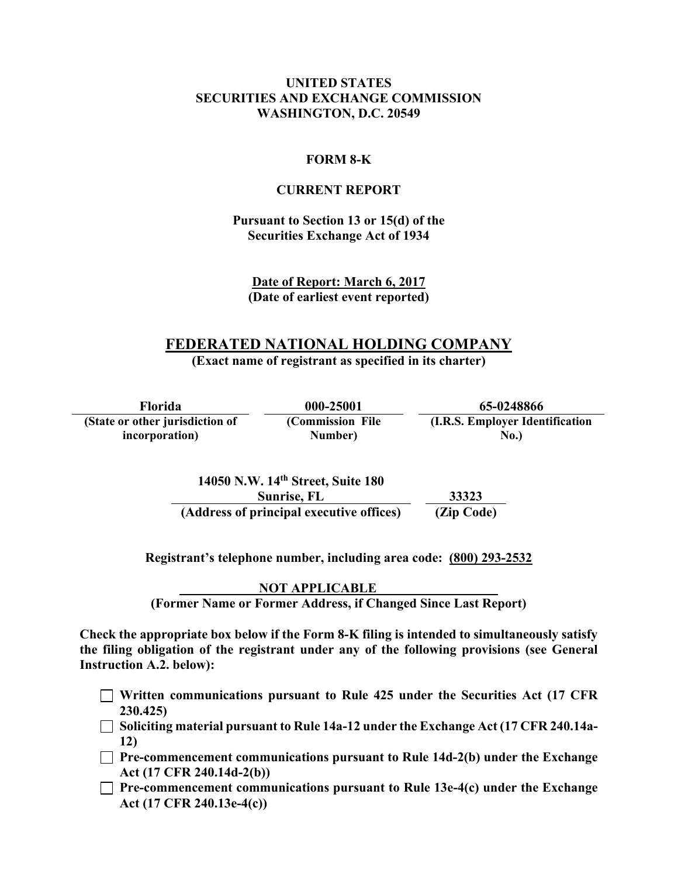#### **UNITED STATES SECURITIES AND EXCHANGE COMMISSION WASHINGTON, D.C. 20549**

#### **FORM 8-K**

#### **CURRENT REPORT**

#### **Pursuant to Section 13 or 15(d) of the Securities Exchange Act of 1934**

**Date of Report: March 6, 2017 (Date of earliest event reported)**

# **FEDERATED NATIONAL HOLDING COMPANY**

**(Exact name of registrant as specified in its charter)** 

**Florida 000-25001 65-0248866 (State or other jurisdiction of incorporation) (Commission File Number) (I.R.S. Employer Identification No.)** 

> **14050 N.W. 14th Street, Suite 180 Sunrise, FL 33323 (Address of principal executive offices) (Zip Code)**

**Registrant's telephone number, including area code: (800) 293-2532** 

 **NOT APPLICABLE (Former Name or Former Address, if Changed Since Last Report)** 

**Check the appropriate box below if the Form 8-K filing is intended to simultaneously satisfy the filing obligation of the registrant under any of the following provisions (see General Instruction A.2. below):** 

- **Written communications pursuant to Rule 425 under the Securities Act (17 CFR 230.425)**
- **Soliciting material pursuant to Rule 14a-12 under the Exchange Act (17 CFR 240.14a-12)**
- **Pre-commencement communications pursuant to Rule 14d-2(b) under the Exchange Act (17 CFR 240.14d-2(b))**
- **Pre-commencement communications pursuant to Rule 13e-4(c) under the Exchange Act (17 CFR 240.13e-4(c))**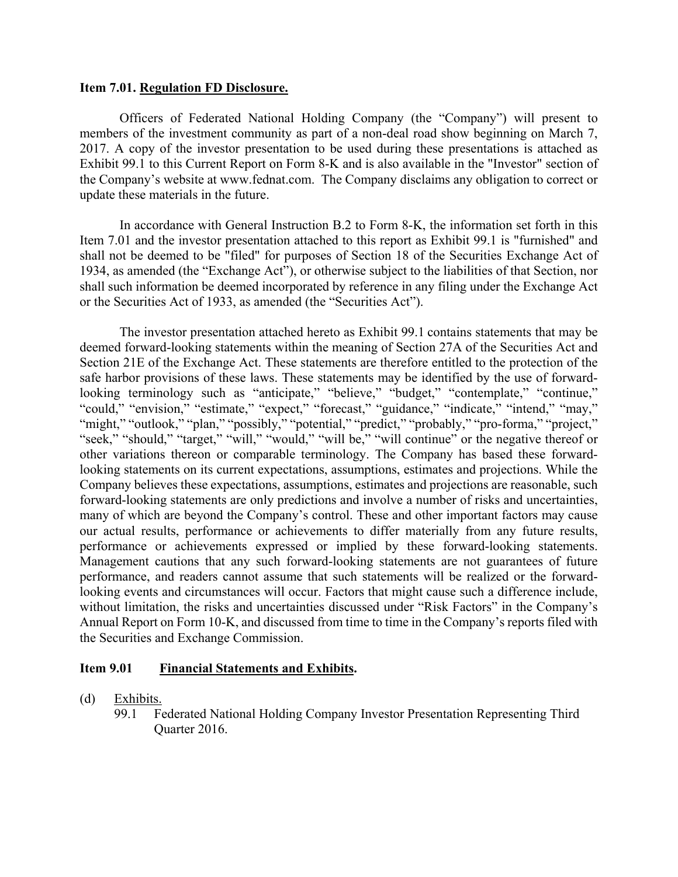#### **Item 7.01. Regulation FD Disclosure.**

Officers of Federated National Holding Company (the "Company") will present to members of the investment community as part of a non-deal road show beginning on March 7, 2017. A copy of the investor presentation to be used during these presentations is attached as Exhibit 99.1 to this Current Report on Form 8-K and is also available in the "Investor" section of the Company's website at www.fednat.com. The Company disclaims any obligation to correct or update these materials in the future.

In accordance with General Instruction B.2 to Form 8-K, the information set forth in this Item 7.01 and the investor presentation attached to this report as Exhibit 99.1 is "furnished" and shall not be deemed to be "filed" for purposes of Section 18 of the Securities Exchange Act of 1934, as amended (the "Exchange Act"), or otherwise subject to the liabilities of that Section, nor shall such information be deemed incorporated by reference in any filing under the Exchange Act or the Securities Act of 1933, as amended (the "Securities Act").

The investor presentation attached hereto as Exhibit 99.1 contains statements that may be deemed forward-looking statements within the meaning of Section 27A of the Securities Act and Section 21E of the Exchange Act. These statements are therefore entitled to the protection of the safe harbor provisions of these laws. These statements may be identified by the use of forwardlooking terminology such as "anticipate," "believe," "budget," "contemplate," "continue," "could," "envision," "estimate," "expect," "forecast," "guidance," "indicate," "intend," "may," "might," "outlook," "plan," "possibly," "potential," "predict," "probably," "pro-forma," "project," "seek," "should," "target," "will," "would," "will be," "will continue" or the negative thereof or other variations thereon or comparable terminology. The Company has based these forwardlooking statements on its current expectations, assumptions, estimates and projections. While the Company believes these expectations, assumptions, estimates and projections are reasonable, such forward-looking statements are only predictions and involve a number of risks and uncertainties, many of which are beyond the Company's control. These and other important factors may cause our actual results, performance or achievements to differ materially from any future results, performance or achievements expressed or implied by these forward-looking statements. Management cautions that any such forward-looking statements are not guarantees of future performance, and readers cannot assume that such statements will be realized or the forwardlooking events and circumstances will occur. Factors that might cause such a difference include, without limitation, the risks and uncertainties discussed under "Risk Factors" in the Company's Annual Report on Form 10-K, and discussed from time to time in the Company's reports filed with the Securities and Exchange Commission.

#### **Item 9.01 Financial Statements and Exhibits.**

- (d) Exhibits.
	- 99.1 Federated National Holding Company Investor Presentation Representing Third Quarter 2016.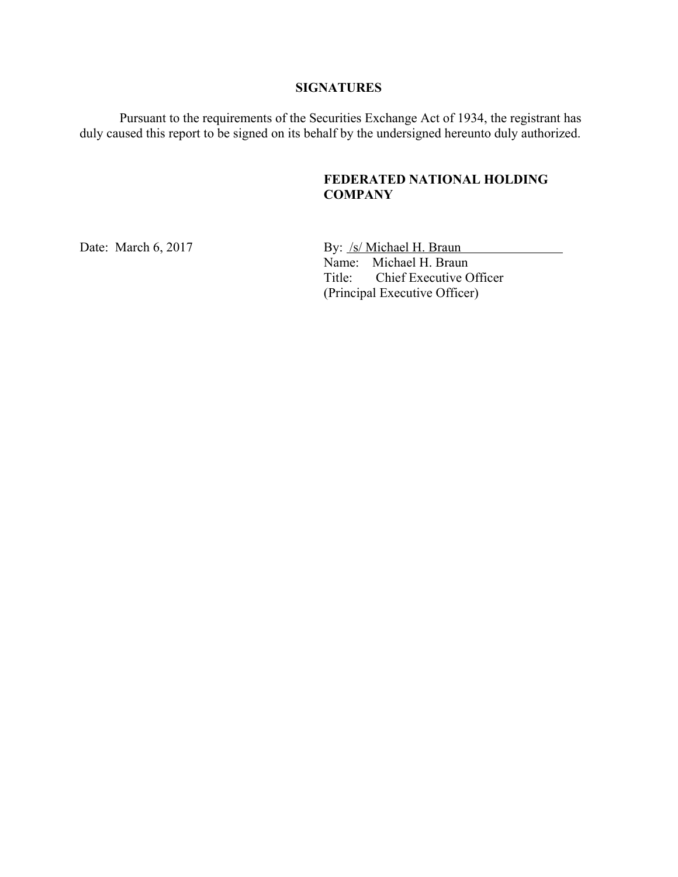#### **SIGNATURES**

Pursuant to the requirements of the Securities Exchange Act of 1934, the registrant has duly caused this report to be signed on its behalf by the undersigned hereunto duly authorized.

### **FEDERATED NATIONAL HOLDING COMPANY**

Date: March 6, 2017 By: /s/ Michael H. Braun Name: Michael H. Braun Title: Chief Executive Officer (Principal Executive Officer)